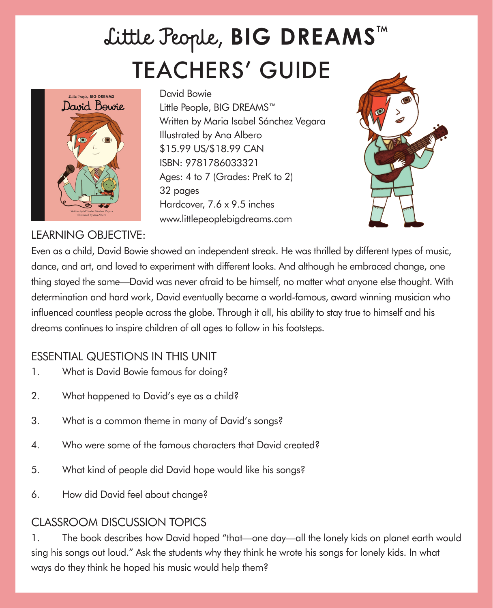## TEACHERS' GUIDE Little People, **BIG DREAMS**™



LEARNING OBJECTIVE:

David Bowie Little People, BIG DREAMS™ Written by Maria Isabel Sánchez Vegara Illustrated by Ana Albero \$15.99 US/\$18.99 CAN ISBN: 9781786033321 Ages: 4 to 7 (Grades: PreK to 2) 32 pages Hardcover, 7.6 x 9.5 inches www.littlepeoplebigdreams.com



Even as a child, David Bowie showed an independent streak. He was thrilled by different types of music, dance, and art, and loved to experiment with different looks. And although he embraced change, one thing stayed the same—David was never afraid to be himself, no matter what anyone else thought. With determination and hard work, David eventually became a world-famous, award winning musician who influenced countless people across the globe. Through it all, his ability to stay true to himself and his dreams continues to inspire children of all ages to follow in his footsteps.

## ESSENTIAL QUESTIONS IN THIS UNIT

- 1. What is David Bowie famous for doing?
- 2. What happened to David's eye as a child?
- 3. What is a common theme in many of David's songs?
- 4. Who were some of the famous characters that David created?
- 5. What kind of people did David hope would like his songs?
- 6. How did David feel about change?

## CLASSROOM DISCUSSION TOPICS

1. The book describes how David hoped "that—one day—all the lonely kids on planet earth would sing his songs out loud." Ask the students why they think he wrote his songs for lonely kids. In what ways do they think he hoped his music would help them?